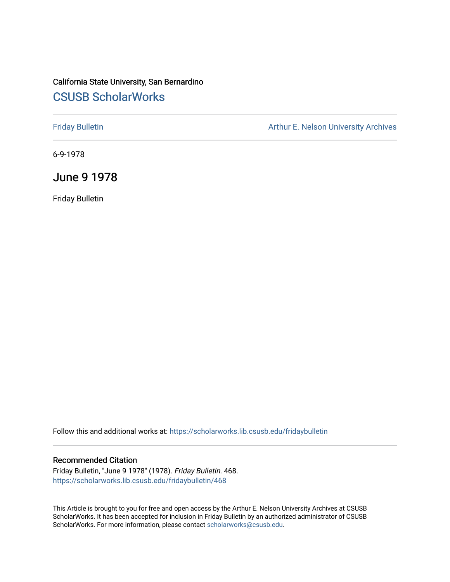## California State University, San Bernardino [CSUSB ScholarWorks](https://scholarworks.lib.csusb.edu/)

[Friday Bulletin](https://scholarworks.lib.csusb.edu/fridaybulletin) **Arthur E. Nelson University Archives** Arthur E. Nelson University Archives

6-9-1978

June 9 1978

Friday Bulletin

Follow this and additional works at: [https://scholarworks.lib.csusb.edu/fridaybulletin](https://scholarworks.lib.csusb.edu/fridaybulletin?utm_source=scholarworks.lib.csusb.edu%2Ffridaybulletin%2F468&utm_medium=PDF&utm_campaign=PDFCoverPages)

## Recommended Citation

Friday Bulletin, "June 9 1978" (1978). Friday Bulletin. 468. [https://scholarworks.lib.csusb.edu/fridaybulletin/468](https://scholarworks.lib.csusb.edu/fridaybulletin/468?utm_source=scholarworks.lib.csusb.edu%2Ffridaybulletin%2F468&utm_medium=PDF&utm_campaign=PDFCoverPages)

This Article is brought to you for free and open access by the Arthur E. Nelson University Archives at CSUSB ScholarWorks. It has been accepted for inclusion in Friday Bulletin by an authorized administrator of CSUSB ScholarWorks. For more information, please contact [scholarworks@csusb.edu.](mailto:scholarworks@csusb.edu)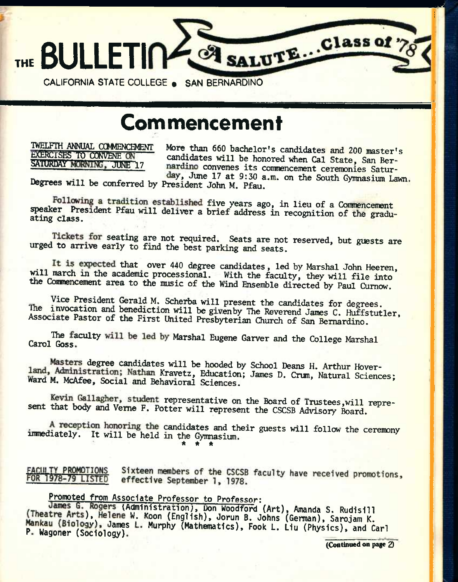

# **Commencement**

TWELFTH ANNUAL COMMENCEMENT EXERCISES TO CONVENE ON SATURDAY MORNING, JUNE 17

More than 660 bachelor's candidates and 200 master's candidates will be honored when Cal State, San Bernardino convenes its commencement ceremonies Saturday, June 17 at 9:30 a.m. on the South Gymnasium Lawn.

Degrees will be conferred by President John M. Pfau.

Following a tradition established five years ago, in lieu of a Commencement speaker President Pfau will deliver a brief address in recognition of the gradu-<br>ating class.

Tickets for seating are not required. Seats are not reserved, but guests are urged to arrive early to find the best parking and seats.

It is expected that over 440 degree candidates, led by Marshal John Heeren, will march in the academic processional. With the faculty, they will file into the Commencement area to the music of the Wind Ensemble directed by Paul Curnow.

Vice President Gerald M. Scherba will present the candidates for degrees. The invocation and benediction will be given by The Reverend James C. Huffstutler, Associate Pastor of the First United Presbyterian Church of San Bernardino.

The faculty will be led by Marshal Eugene Garver and the College Marshal Carol Goss.

Masters degree candidates will be hooded by School Deans H. Arthur Hoverland, Administration; Nathan Kravetz, Education; James D. Crum, Natural Sciences; Ward M. McAfee, Social and Behavioral Sciences.

Kevin Gallagher, student representative on the Board of Trustees, will represent that body and Verne F. Potter will represent the CSCSB Advisory Board.

A reception honoring the candidates and their guests will follow the ceremony imnediately. It will be held in the Gymnasium. **\* \* \*** 

FACULTY PROMOTIONS<br>FOR 1978-79 LISTED Sixteen members of the CSCSB faculty have received promotions, effective September 1, 1978.

## Promoted from Associate Professor to Professor:

Kogers (Administration), Don Woodford (Art), Amanda S. Rudisill<br>), Helene W. Koon (English), Jorun B. Johns (German), Sarojam K.<br>qv), James L. Murnhy (Mathematics), Eesk L. (Art (Dh.), Sarojam K. Mankau (Biology), James L. Murphy (Mathematics), Fook L. Liu (Physics), and Carl<br>P. Wagoner (Sociology).

(Continued on page Q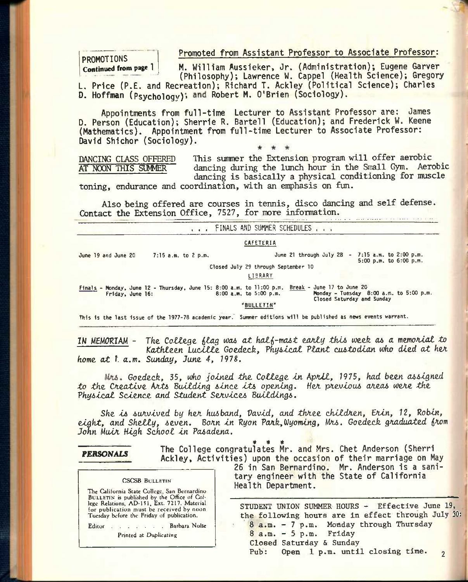Promoted from Assistant Professor to Associate Professor:

## PROMOTIONS Continued from page 1

M. William Aussieker, Jr. (Administration); Eugene Garver (Philosophy); Lawrence W. Cappel (Health Science); Gregory L. Price (P.E. and Recreation); Richard T. Ackley (Political Science); Charles

D. Hoffman (Psychology); and Robert M. O'Brien (Sociology).

Appointments from full-time Lecturer to Assistant Professor are: James D. Person (Education); Sherrie R. Bartell (Education); and Frederick W. Keene (Mathematics). Appointment from full-time Lecturer to Associate Professor: David Shichor (Sociology).

DANCING CLASS OFFERED AT NOON THIS SUMMER

This summer the Extension program will offer aerobic dancing during the lunch hour in the Small Gym. Aerobic dancing is basically a physical conditioning for muscle

toning, endurance and coordination, with an enphasis on fun.

Also being offered are courses in tennis, disco dancing and self defense. Contact the Extension Office, 7527, for more information.

. . . FINALS AND SUMMER SCHEDULES . . . June 19 and June 20 7:15 a.m. to 2 p.m. CAFETERIA June 21 through July 28  $-7:15$  a.m. to 2:00 p.m. 5:00 p.m. to 6:00 p.m. Closed July 29 through September 10 LIBRARY Finals - Monday, June 12 - Thursday, June 15: 8:00 a.m. to 11:00 p.m. Break - June 17 to June 20 Honday, June 12 - Indiscay, June 15: 8:00 a.m. to 7:100 p.m.<br>Friday, June 16: 8:00 p.m. 5:00 p.m. Closed Saturday and Sunday

"BULLETIN"

This is the last issue of the 1977-78 academic year. Summer editions will be published as news events warrant.

IN MEMORTAM - *Tke. CoZtzQH (lag toa6 at hal(-mas,t ojx/itg tht6* weefe *a& a memoataZ to*  Kathleen Lucille Goedeck, *Physical Plant custodian who died at her home, at 1* a.m. *Sunday, June. 4, 197S.* 

*Mrs. Goedeck, 35, who joined the College in April, 1975, had been assigned to the Creative Arts Building since its opening. Her previous areas were the* Physical Science and Student Services Buildings.

*She l6 6uA.vlved by hex husband, Vavld, and thxee chlldxen, Siln, 12, Robin,*  eight, and Shelly, seven. Born in Ryon Park, Wyoming, Mrs. Goedeck graduated from *John Mulx High School In Pasadena.* 

## *PERSONALS*

*'tl t ts*  The College congratulates Mr. and Mrs. Chet Anderson (Sherri Ackley, Activities) upon the occasion of their marriage on May

### **CSCSB BULLETIN**

**The California State College, San Bernardino BULLETIN is published by the Office of Col-lege Relations, AD-151, Ext. 7217. Material for publication must be received by noon Tuesday before the Friday of publication.** 

**Editor Barbara Nolte** 

**Printed at Duplicating** 

26 in San Bernardino, Mr. Anderson is a sanitary engineer with the State of California Health Department.

**STUDENT UNION SUMMER HOURS - Effective June 19, the following hours are in effect through July 30: 8 a.m. - 7 p.m. Monday through Thursday 8 a.m. - 5 p.m. Friday Closed Saturday & Sunday Pub: Open 1 p.m. until closing time. 2**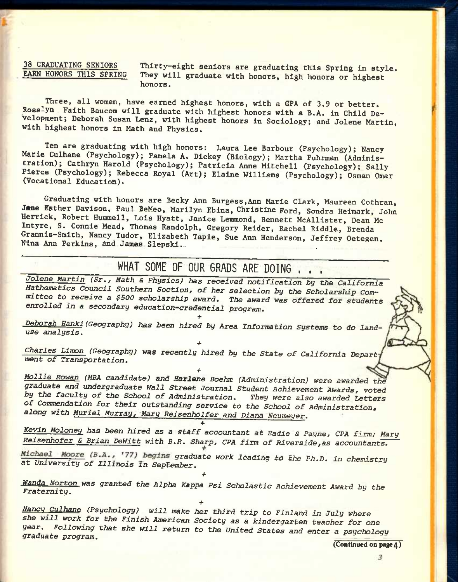**38 GRADUATING SENIORS Thirty-eight seniors are graduating this Spring in style.**  They will graduate with honors, high honors or highest **honors.** 

**Three, all women, have earned highest honors, with a GPA of 3.9 or better. Rosalyn Faith Baucom will graduate with highest honors with a B.A. in Child Development; Deborah Susan Lenz, with highest honors in Sociology; and Jolene Martin, with highest honors in Math and Physics.** 

**Ten are graduating with high honors: Laura Lee Barbour (Psychology); Nancy Marie Culhane (Psychology); Pamela A, Dickey (Biology); Martha Fuhrman (Administration); Cathryn Harold (Psychology); Patricia Anne Mitchell (Psychology); Sally Pierce (Psychology); Rebecca Royal (Art); Elaine Williams (Psychology); Osman Omar (Vocational Education).** 

**Graduating with honors are Becky Ann Burgess,Ann Marie Clark, Maureen Cothran, Jane Esther Davison, Paul BeMeo, Marilyn Ebina, Christine Ford, Sondra Heimark, John Herrick, Robert Hummell, Lois Hyatt, Janice Lemmond, Bennett McAllister, Dean Mc Intyre, S. Connie Mead, Thomas Randolph, Gregory Reider, Rachel Riddle, Brenda Grannis-Smith, Nancy Tudor, Elizabeth Tapie, Sue Ann Henderson, Jeffrey Oetegen, Nina Ann Perkins, And James Slepski.** 

## **WHAT SOME OF OUR GRADS ARE DOING . , .**

Jolene *Martin (Sr., Math & Physics) has received notification by the California Mathematics Coimcil Southern Section, of her selection by the Scholarship Com^ mittee to receive a \$500 scholarship award. The award was offered for students enrolled in a secondary education-credential program,* 

*Deborah Hanki (Geography) has been hired by Area Information* Systems *to do landuse analysis,* 

*+* 

**+**  *Charles Limon (Geography) was recently hired by the State of California Depart ment of Transportation,*  **+** 

*Mollie Rowan (MBA candidate) and ffarlene Boehm (Administration) were awarded thd graduate and undergraduate Wall Street Journal Student Achievement Awards, voted*  by the faculty of the School of Administration. They were also awarded Letters *of Commendation for their outstanding service to the School of Administration, along with Muriel Murray, Maru Reisenholfer and Diana Neumeuer,* 

**+** 

*Kevin Moloney has been hired as a staff accountant at Eadie & Payne, CPA firm; Mary Reisenhofer & Brian DeWitt with B,R, Sharp, CPA firm of Riverside,as accountants,* 

Michael Moore (B.A., '77) begins graduate work leading to the Ph.D. in chemistry *at University of Illinois in Septeml)er,* 

•f Wanda Norton was granted the Alpha Kappa *Psi Scholastic Achievement Award b*y the *Fraternity. <i> <b><i>Properties in the second of the second of the second of the second of the second of the second of the second of the second of the second of the second of the second of the second of the second of the +* 

ffan<?y *Culhane (Psychology) will make her third trip to Finland in July where she will work for the Finish American Society as a kindergarten teacher for one year. Following that she will return to the United States and enter a psychology*  graduate program. **Exercise 2018 Exercise 2018 Exercise 2018** 

**(Continued on page 4)**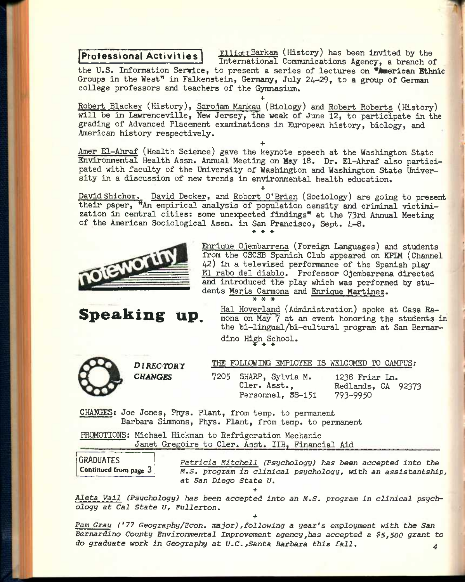**Professional Activities ElliottBarkan** (History) has been invited by the **International Communications Agency, a branch of** 

the U.S. Information Serrice, to present a series of lectures on <sup>#American Ethnic</sup> Groups in the West<sup>"</sup> in Falkenstein, Germany, July 24-29, to a group of German **college professors and teachers of the Gymnasium.** 

**+ Robert Blackey (History), Saro.jam Mankau (Biology) and Robert Roberts (History) will be in Lawrenceville, New Jersey, the week of June 12, to participate in the grading of Advanced Placement examinations in European history, biology, and American history respectively.** 

**+ Amer El-Ahraf (Health Science) gave the keynote speech at the Washington State**  Environmental Health Assn. Annual Meeting on May 18. Dr. El-Ahraf also partici**pated with faculty of the University of Washington and Washington State University in a discussion of new trends in environmental health education.** 

**+ David Shichor. David Decker, and Robert O'Brien (Sociology) are going to present their paper, "An empirical analysis of population density and criminal victimization in central cities; some unexpected findings" at the 73rd Annual Meeting**  of the American Sociological Assn. in San Francisco, Sept. 4-8.



**Speaking up.** 

**Enrique O.iembarrena (Foreign Languages) and students from the CSCSB Spanish Club appeared on KPIM (Channel 42) in a televised performance of the Spanish play El rabo del diablo. Professor Ojembarrena directed and introduced the play which was performed by students Maria Carmona and Enrique Martinez. \* \* \*** 

**Hal Hoverland (Administration) spoke at Casa Ramona on May 7 at an event honoring the students in the bi-lingual/bi-cultural program at San Bernardino High School.**  \* \* \*



*DlRECWRy CHANGES* 

**THE FOLLOWING EMPLOYEE IS WELCOMED TO CAMPUS:** 

**7205 SHARP, Sylvia M. Cler. Asst., Personnel, SS-151 1238 Friar In. Redlands, CA 92373**  793-9950

CHAN**J**ES**; Joe Jones, Phys. Plant, from temp, to permanent Barbara Simmons, Phys. Plant, from temp, to permanent** 

**PROMOTIONS: Michael Hickman to Refrigeration Mechanic Janet Gregoire to Cler. Asst. IIB, Financial Aid** 

GRADUATES Continued from page **3** 

*Patricia Mitchell (Psychology) has been accepted into the M.S. program in clinical psychology, with an assistantship, at San Diego State U,* 

 $+$ *Aleta Vail (Psychology) has been accepted into an* **W.5.** *program in clinical psychr ology at Cal State U, Fullerton.* 

*+* 

*Pam Gray ('77 Geography/Econ. major),following a* **year's** *employment with the San Bernardino County Environmental Improvement agency,has accepted a \$5,500 grant to do graduate work in Geography* **at** *V,C,,Santa Barbara this fall, ^*